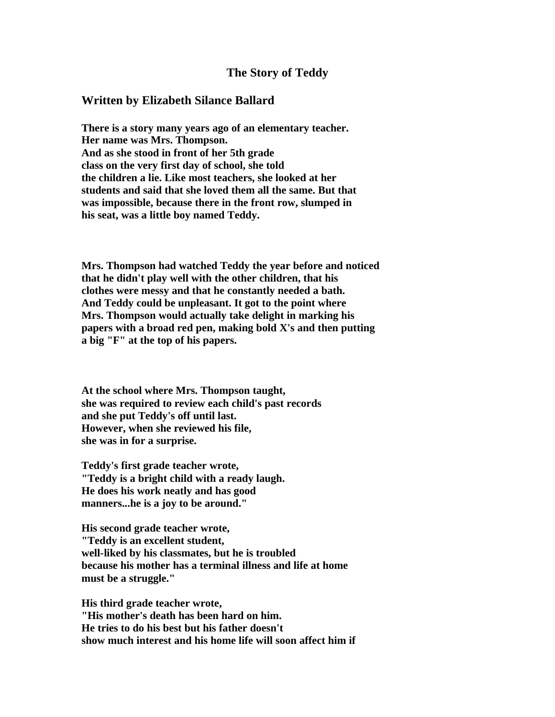## **The Story of Teddy**

## **Written by Elizabeth Silance Ballard**

**There is a story many years ago of an elementary teacher. Her name was Mrs. Thompson. And as she stood in front of her 5th grade class on the very first day of school, she told the children a lie. Like most teachers, she looked at her students and said that she loved them all the same. But that was impossible, because there in the front row, slumped in his seat, was a little boy named Teddy.**

**Mrs. Thompson had watched Teddy the year before and noticed that he didn't play well with the other children, that his clothes were messy and that he constantly needed a bath. And Teddy could be unpleasant. It got to the point where Mrs. Thompson would actually take delight in marking his papers with a broad red pen, making bold X's and then putting a big "F" at the top of his papers.**

**At the school where Mrs. Thompson taught, she was required to review each child's past records and she put Teddy's off until last. However, when she reviewed his file, she was in for a surprise.**

**Teddy's first grade teacher wrote, "Teddy is a bright child with a ready laugh. He does his work neatly and has good manners...he is a joy to be around."**

**His second grade teacher wrote, "Teddy is an excellent student, well-liked by his classmates, but he is troubled because his mother has a terminal illness and life at home must be a struggle."**

**His third grade teacher wrote, "His mother's death has been hard on him. He tries to do his best but his father doesn't show much interest and his home life will soon affect him if**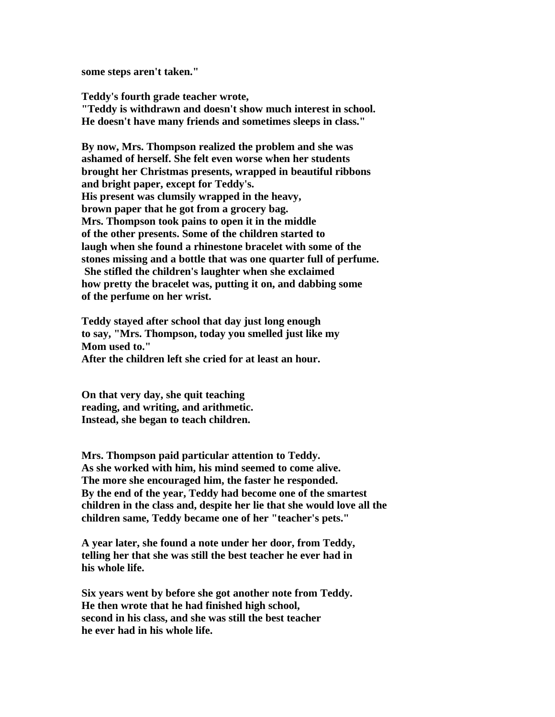**some steps aren't taken."**

**Teddy's fourth grade teacher wrote, "Teddy is withdrawn and doesn't show much interest in school. He doesn't have many friends and sometimes sleeps in class."**

**By now, Mrs. Thompson realized the problem and she was ashamed of herself. She felt even worse when her students brought her Christmas presents, wrapped in beautiful ribbons and bright paper, except for Teddy's. His present was clumsily wrapped in the heavy, brown paper that he got from a grocery bag. Mrs. Thompson took pains to open it in the middle of the other presents. Some of the children started to laugh when she found a rhinestone bracelet with some of the stones missing and a bottle that was one quarter full of perfume. She stifled the children's laughter when she exclaimed how pretty the bracelet was, putting it on, and dabbing some of the perfume on her wrist.**

**Teddy stayed after school that day just long enough to say, "Mrs. Thompson, today you smelled just like my Mom used to."**

**After the children left she cried for at least an hour.**

**On that very day, she quit teaching reading, and writing, and arithmetic. Instead, she began to teach children.** 

**Mrs. Thompson paid particular attention to Teddy. As she worked with him, his mind seemed to come alive. The more she encouraged him, the faster he responded. By the end of the year, Teddy had become one of the smartest children in the class and, despite her lie that she would love all the children same, Teddy became one of her "teacher's pets."**

**A year later, she found a note under her door, from Teddy, telling her that she was still the best teacher he ever had in his whole life.**

**Six years went by before she got another note from Teddy. He then wrote that he had finished high school, second in his class, and she was still the best teacher he ever had in his whole life.**